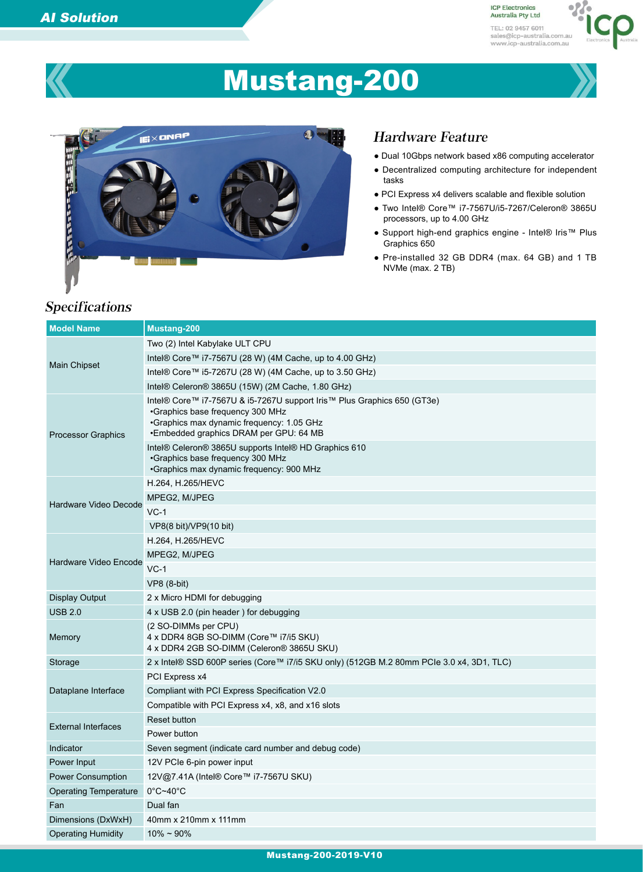**ICP Electronics** Australia Pty Ltd TEL: 02 9457 6011 sales@icp-australia.com.au<br>www.icp-australia.com.au



# Mustang-200



# Specifications

### Hardware Feature

- Dual 10Gbps network based x86 computing accelerator
- Decentralized computing architecture for independent tasks
- PCI Express x4 delivers scalable and flexible solution
- Two Intel® Core™ i7-7567U/i5-7267/Celeron® 3865U processors, up to 4.00 GHz
- Support high-end graphics engine Intel® Iris™ Plus Graphics 650
- Pre-installed 32 GB DDR4 (max. 64 GB) and 1 TB NVMe (max. 2 TB)

| <b>Model Name</b>            | <b>Mustang-200</b>                                                                                                                                                                                 |
|------------------------------|----------------------------------------------------------------------------------------------------------------------------------------------------------------------------------------------------|
| <b>Main Chipset</b>          | Two (2) Intel Kabylake ULT CPU                                                                                                                                                                     |
|                              | Intel® Core™ i7-7567U (28 W) (4M Cache, up to 4.00 GHz)                                                                                                                                            |
|                              | Intel® Core™ i5-7267U (28 W) (4M Cache, up to 3.50 GHz)                                                                                                                                            |
|                              | Intel® Celeron® 3865U (15W) (2M Cache, 1.80 GHz)                                                                                                                                                   |
| <b>Processor Graphics</b>    | Intel® Core™ i7-7567U & i5-7267U support Iris™ Plus Graphics 650 (GT3e)<br>•Graphics base frequency 300 MHz<br>•Graphics max dynamic frequency: 1.05 GHz<br>•Embedded graphics DRAM per GPU: 64 MB |
|                              | Intel® Celeron® 3865U supports Intel® HD Graphics 610<br>•Graphics base frequency 300 MHz<br>•Graphics max dynamic frequency: 900 MHz                                                              |
| Hardware Video Decode        | H.264, H.265/HEVC                                                                                                                                                                                  |
|                              | MPEG2, M/JPEG                                                                                                                                                                                      |
|                              | $VC-1$                                                                                                                                                                                             |
|                              | VP8(8 bit)/VP9(10 bit)                                                                                                                                                                             |
|                              | H.264, H.265/HEVC                                                                                                                                                                                  |
| Hardware Video Encode        | MPEG2, M/JPEG                                                                                                                                                                                      |
|                              | $VC-1$                                                                                                                                                                                             |
|                              | $VP8$ (8-bit)                                                                                                                                                                                      |
| <b>Display Output</b>        | 2 x Micro HDMI for debugging                                                                                                                                                                       |
| <b>USB 2.0</b>               | 4 x USB 2.0 (pin header) for debugging                                                                                                                                                             |
| Memory                       | (2 SO-DIMMs per CPU)<br>4 x DDR4 8GB SO-DIMM (Core™ i7/i5 SKU)<br>4 x DDR4 2GB SO-DIMM (Celeron® 3865U SKU)                                                                                        |
| Storage                      | 2 x Intel® SSD 600P series (Core™ i7/i5 SKU only) (512GB M.2 80mm PCIe 3.0 x4, 3D1, TLC)                                                                                                           |
|                              | PCI Express x4                                                                                                                                                                                     |
| Dataplane Interface          | Compliant with PCI Express Specification V2.0                                                                                                                                                      |
|                              | Compatible with PCI Express x4, x8, and x16 slots                                                                                                                                                  |
| <b>External Interfaces</b>   | Reset button                                                                                                                                                                                       |
|                              | Power button                                                                                                                                                                                       |
| Indicator                    | Seven segment (indicate card number and debug code)                                                                                                                                                |
| Power Input                  | 12V PCIe 6-pin power input                                                                                                                                                                         |
| Power Consumption            | 12V@7.41A (Intel® Core™ i7-7567U SKU)                                                                                                                                                              |
| <b>Operating Temperature</b> | $0^{\circ}$ C~40 $^{\circ}$ C                                                                                                                                                                      |
| Fan                          | Dual fan                                                                                                                                                                                           |
| Dimensions (DxWxH)           | 40mm x 210mm x 111mm                                                                                                                                                                               |
| <b>Operating Humidity</b>    | $10\% \sim 90\%$                                                                                                                                                                                   |